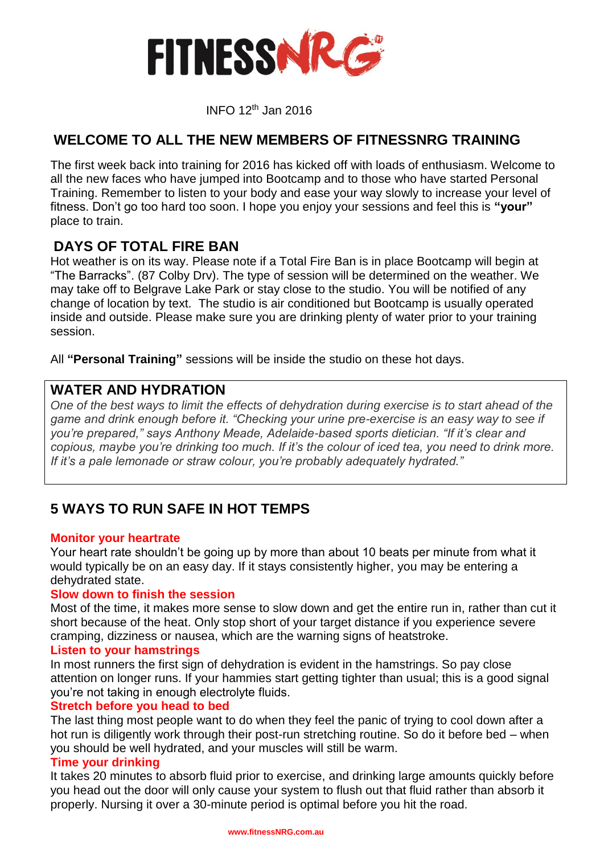

INFO <sup>12</sup>th Jan 2016

## **WELCOME TO ALL THE NEW MEMBERS OF FITNESSNRG TRAINING**

The first week back into training for 2016 has kicked off with loads of enthusiasm. Welcome to all the new faces who have jumped into Bootcamp and to those who have started Personal Training. Remember to listen to your body and ease your way slowly to increase your level of fitness. Don't go too hard too soon. I hope you enjoy your sessions and feel this is **"your"** place to train.

### **DAYS OF TOTAL FIRE BAN**

Hot weather is on its way. Please note if a Total Fire Ban is in place Bootcamp will begin at "The Barracks". (87 Colby Drv). The type of session will be determined on the weather. We may take off to Belgrave Lake Park or stay close to the studio. You will be notified of any change of location by text. The studio is air conditioned but Bootcamp is usually operated inside and outside. Please make sure you are drinking plenty of water prior to your training session.

All **"Personal Training"** sessions will be inside the studio on these hot days.

## **WATER AND HYDRATION**

*One of the best ways to limit the effects of dehydration during exercise is to start ahead of the game and drink enough before it. "Checking your urine pre-exercise is an easy way to see if you're prepared," says Anthony Meade, Adelaide-based sports dietician. "If it's clear and copious, maybe you're drinking too much. If it's the colour of iced tea, you need to drink more. If it's a pale lemonade or straw colour, you're probably adequately hydrated."*

# **5 WAYS TO RUN SAFE IN HOT TEMPS**

#### **Monitor your heartrate**

Your heart rate shouldn't be going up by more than about 10 beats per minute from what it would typically be on an easy day. If it stays consistently higher, you may be entering a dehydrated state.

#### **Slow down to finish the session**

Most of the time, it makes more sense to slow down and get the entire run in, rather than cut it short because of the heat. Only stop short of your target distance if you experience severe cramping, dizziness or nausea, which are the warning signs of heatstroke.

#### **Listen to your hamstrings**

In most runners the first sign of dehydration is evident in the hamstrings. So pay close attention on longer runs. If your hammies start getting tighter than usual; this is a good signal you're not taking in enough electrolyte fluids.

#### **Stretch before you head to bed**

The last thing most people want to do when they feel the panic of trying to cool down after a hot run is diligently work through their post-run stretching routine. So do it before bed – when you should be well hydrated, and your muscles will still be warm.

#### **Time your drinking**

It takes 20 minutes to absorb fluid prior to exercise, and drinking large amounts quickly before you head out the door will only cause your system to flush out that fluid rather than absorb it properly. Nursing it over a 30-minute period is optimal before you hit the road.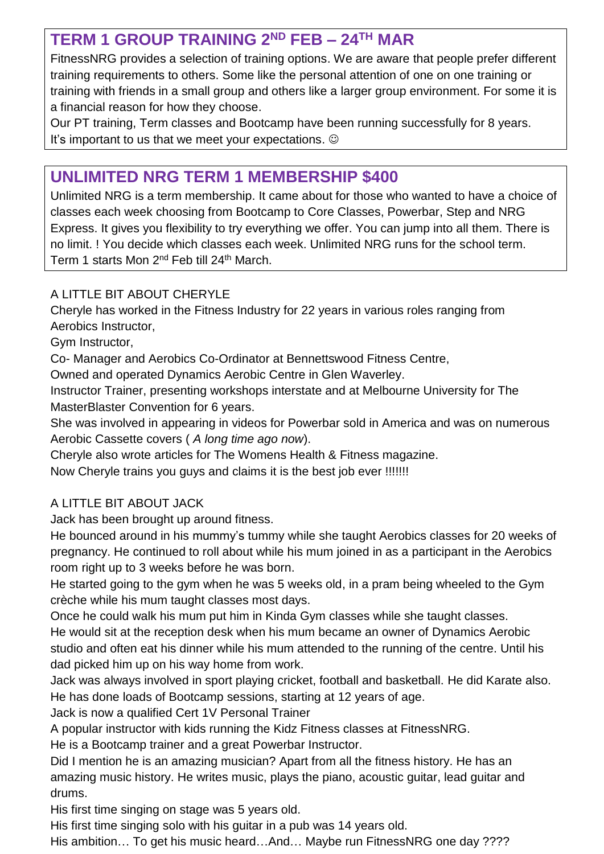# **TERM 1 GROUP TRAINING 2ND FEB – 24TH MAR**

FitnessNRG provides a selection of training options. We are aware that people prefer different training requirements to others. Some like the personal attention of one on one training or training with friends in a small group and others like a larger group environment. For some it is a financial reason for how they choose.

Our PT training, Term classes and Bootcamp have been running successfully for 8 years. It's important to us that we meet your expectations.  $\odot$ 

# **UNLIMITED NRG TERM 1 MEMBERSHIP \$400**

Unlimited NRG is a term membership. It came about for those who wanted to have a choice of classes each week choosing from Bootcamp to Core Classes, Powerbar, Step and NRG Express. It gives you flexibility to try everything we offer. You can jump into all them. There is no limit. ! You decide which classes each week. Unlimited NRG runs for the school term. Term 1 starts Mon 2<sup>nd</sup> Feb till 24<sup>th</sup> March.

## A LITTLE BIT ABOUT CHERYLE

Cheryle has worked in the Fitness Industry for 22 years in various roles ranging from Aerobics Instructor,

Gym Instructor,

Co- Manager and Aerobics Co-Ordinator at Bennettswood Fitness Centre,

Owned and operated Dynamics Aerobic Centre in Glen Waverley.

Instructor Trainer, presenting workshops interstate and at Melbourne University for The MasterBlaster Convention for 6 years.

She was involved in appearing in videos for Powerbar sold in America and was on numerous Aerobic Cassette covers ( *A long time ago now*).

Cheryle also wrote articles for The Womens Health & Fitness magazine.

Now Cheryle trains you guys and claims it is the best job ever !!!!!!!

# A LITTLE BIT ABOUT JACK

Jack has been brought up around fitness.

He bounced around in his mummy's tummy while she taught Aerobics classes for 20 weeks of pregnancy. He continued to roll about while his mum joined in as a participant in the Aerobics room right up to 3 weeks before he was born.

He started going to the gym when he was 5 weeks old, in a pram being wheeled to the Gym crèche while his mum taught classes most days.

Once he could walk his mum put him in Kinda Gym classes while she taught classes. He would sit at the reception desk when his mum became an owner of Dynamics Aerobic studio and often eat his dinner while his mum attended to the running of the centre. Until his dad picked him up on his way home from work.

Jack was always involved in sport playing cricket, football and basketball. He did Karate also. He has done loads of Bootcamp sessions, starting at 12 years of age.

Jack is now a qualified Cert 1V Personal Trainer

A popular instructor with kids running the Kidz Fitness classes at FitnessNRG.

He is a Bootcamp trainer and a great Powerbar Instructor.

Did I mention he is an amazing musician? Apart from all the fitness history. He has an amazing music history. He writes music, plays the piano, acoustic guitar, lead guitar and drums.

His first time singing on stage was 5 years old.

His first time singing solo with his guitar in a pub was 14 years old.

His ambition… To get his music heard…And… Maybe run FitnessNRG one day ????